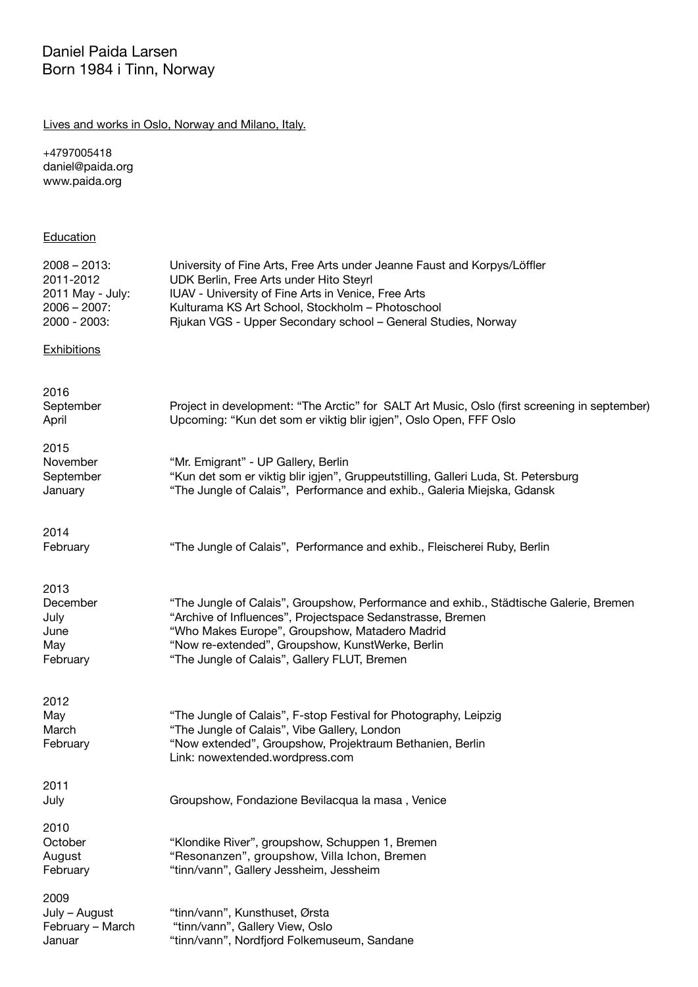## Lives and works in Oslo, Norway and Milano, Italy.

+4797005418 daniel@paida.org www.paida.org

## **Education**

| $2008 - 2013$ :<br>2011-2012<br>2011 May - July:<br>$2006 - 2007$ :<br>2000 - 2003: | University of Fine Arts, Free Arts under Jeanne Faust and Korpys/Löffler<br>UDK Berlin, Free Arts under Hito Steyrl<br>IUAV - University of Fine Arts in Venice, Free Arts<br>Kulturama KS Art School, Stockholm - Photoschool<br>Rjukan VGS - Upper Secondary school - General Studies, Norway           |
|-------------------------------------------------------------------------------------|-----------------------------------------------------------------------------------------------------------------------------------------------------------------------------------------------------------------------------------------------------------------------------------------------------------|
| <b>Exhibitions</b>                                                                  |                                                                                                                                                                                                                                                                                                           |
| 2016<br>September<br>April                                                          | Project in development: "The Arctic" for SALT Art Music, Oslo (first screening in september)<br>Upcoming: "Kun det som er viktig blir igjen", Oslo Open, FFF Oslo                                                                                                                                         |
| 2015<br>November<br>September<br>January                                            | "Mr. Emigrant" - UP Gallery, Berlin<br>"Kun det som er viktig blir igjen", Gruppeutstilling, Galleri Luda, St. Petersburg<br>"The Jungle of Calais", Performance and exhib., Galeria Miejska, Gdansk                                                                                                      |
| 2014<br>February                                                                    | "The Jungle of Calais", Performance and exhib., Fleischerei Ruby, Berlin                                                                                                                                                                                                                                  |
| 2013<br>December<br>July<br>June<br>May<br>February                                 | "The Jungle of Calais", Groupshow, Performance and exhib., Städtische Galerie, Bremen<br>"Archive of Influences", Projectspace Sedanstrasse, Bremen<br>"Who Makes Europe", Groupshow, Matadero Madrid<br>"Now re-extended", Groupshow, KunstWerke, Berlin<br>"The Jungle of Calais", Gallery FLUT, Bremen |
| 2012<br>May<br>March<br>February                                                    | "The Jungle of Calais", F-stop Festival for Photography, Leipzig<br>"The Jungle of Calais", Vibe Gallery, London<br>"Now extended", Groupshow, Projektraum Bethanien, Berlin<br>Link: nowextended.wordpress.com                                                                                           |
| 2011<br>July                                                                        | Groupshow, Fondazione Bevilacqua la masa, Venice                                                                                                                                                                                                                                                          |
| 2010<br>October<br>August<br>February                                               | "Klondike River", groupshow, Schuppen 1, Bremen<br>"Resonanzen", groupshow, Villa Ichon, Bremen<br>"tinn/vann", Gallery Jessheim, Jessheim                                                                                                                                                                |
| 2009<br>July - August<br>February - March<br>Januar                                 | "tinn/vann", Kunsthuset, Ørsta<br>"tinn/vann", Gallery View, Oslo<br>"tinn/vann", Nordfjord Folkemuseum, Sandane                                                                                                                                                                                          |